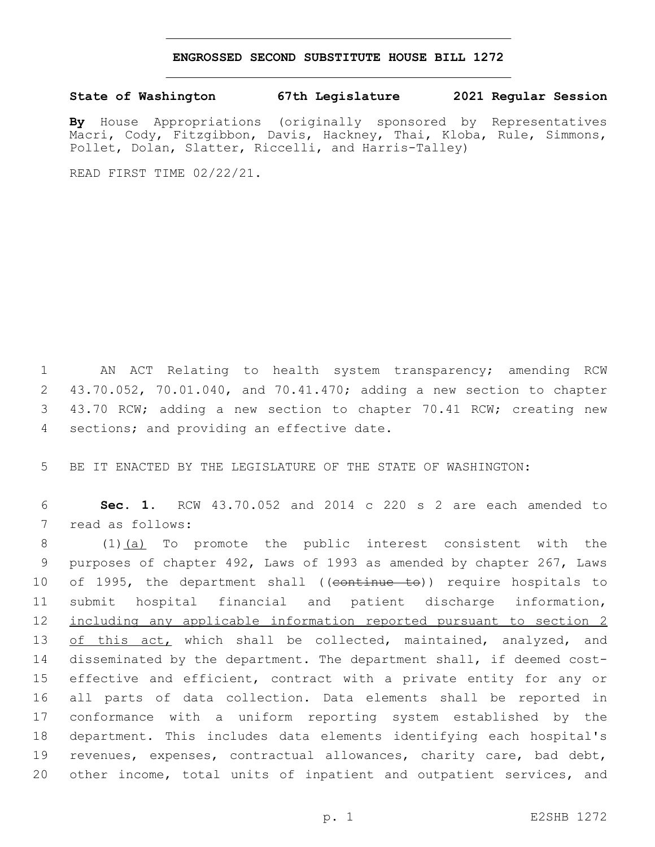## **ENGROSSED SECOND SUBSTITUTE HOUSE BILL 1272**

## **State of Washington 67th Legislature 2021 Regular Session**

**By** House Appropriations (originally sponsored by Representatives Macri, Cody, Fitzgibbon, Davis, Hackney, Thai, Kloba, Rule, Simmons, Pollet, Dolan, Slatter, Riccelli, and Harris-Talley)

READ FIRST TIME 02/22/21.

 AN ACT Relating to health system transparency; amending RCW 43.70.052, 70.01.040, and 70.41.470; adding a new section to chapter 43.70 RCW; adding a new section to chapter 70.41 RCW; creating new 4 sections; and providing an effective date.

5 BE IT ENACTED BY THE LEGISLATURE OF THE STATE OF WASHINGTON:

6 **Sec. 1.** RCW 43.70.052 and 2014 c 220 s 2 are each amended to 7 read as follows:

 (1)(a) To promote the public interest consistent with the purposes of chapter 492, Laws of 1993 as amended by chapter 267, Laws 10 of 1995, the department shall ((continue to)) require hospitals to submit hospital financial and patient discharge information, 12 including any applicable information reported pursuant to section 2 13 of this act, which shall be collected, maintained, analyzed, and disseminated by the department. The department shall, if deemed cost-15 effective and efficient, contract with a private entity for any or all parts of data collection. Data elements shall be reported in conformance with a uniform reporting system established by the department. This includes data elements identifying each hospital's revenues, expenses, contractual allowances, charity care, bad debt, other income, total units of inpatient and outpatient services, and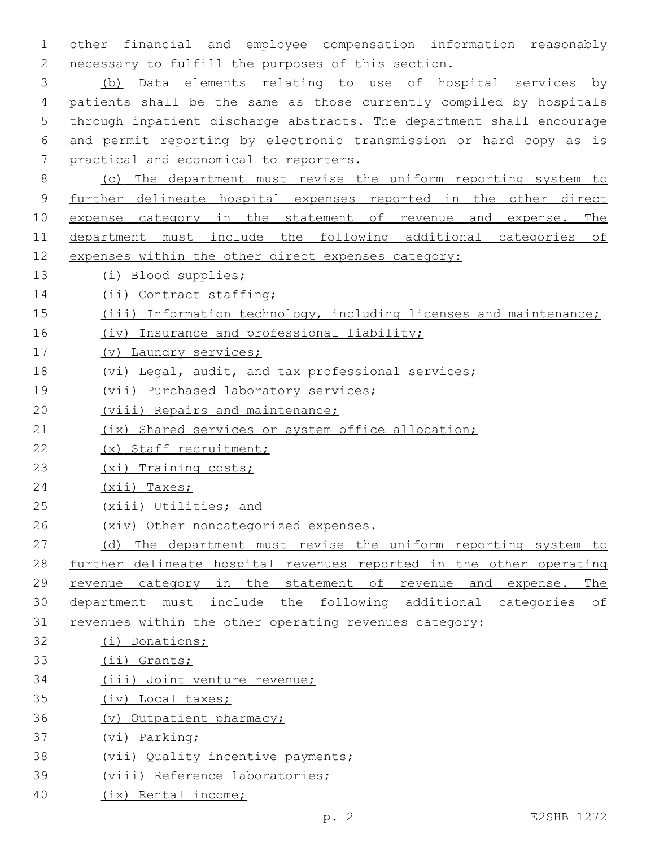other financial and employee compensation information reasonably 2 necessary to fulfill the purposes of this section.

 (b) Data elements relating to use of hospital services by patients shall be the same as those currently compiled by hospitals through inpatient discharge abstracts. The department shall encourage and permit reporting by electronic transmission or hard copy as is 7 practical and economical to reporters.

 (c) The department must revise the uniform reporting system to further delineate hospital expenses reported in the other direct expense category in the statement of revenue and expense. The department must include the following additional categories of expenses within the other direct expenses category:

- (i) Blood supplies;
- 14 (ii) Contract staffing;
- (iii) Information technology, including licenses and maintenance;
- 16 (iv) Insurance and professional liability;
- (v) Laundry services;
- (vi) Legal, audit, and tax professional services;
- (vii) Purchased laboratory services;
- 20 (viii) Repairs and maintenance;
- 21 (ix) Shared services or system office allocation;
- (x) Staff recruitment;
- (xi) Training costs;
- 24 (xii) Taxes;
- (xiii) Utilities; and
- (xiv) Other noncategorized expenses.
- 27 (d) The department must revise the uniform reporting system to further delineate hospital revenues reported in the other operating revenue category in the statement of revenue and expense. The department must include the following additional categories of revenues within the other operating revenues category:
- (i) Donations;
- (ii) Grants;
- (iii) Joint venture revenue;
- (iv) Local taxes;
- (v) Outpatient pharmacy;
- (vi) Parking;
- (vii) Quality incentive payments;
- (viii) Reference laboratories;
- (ix) Rental income;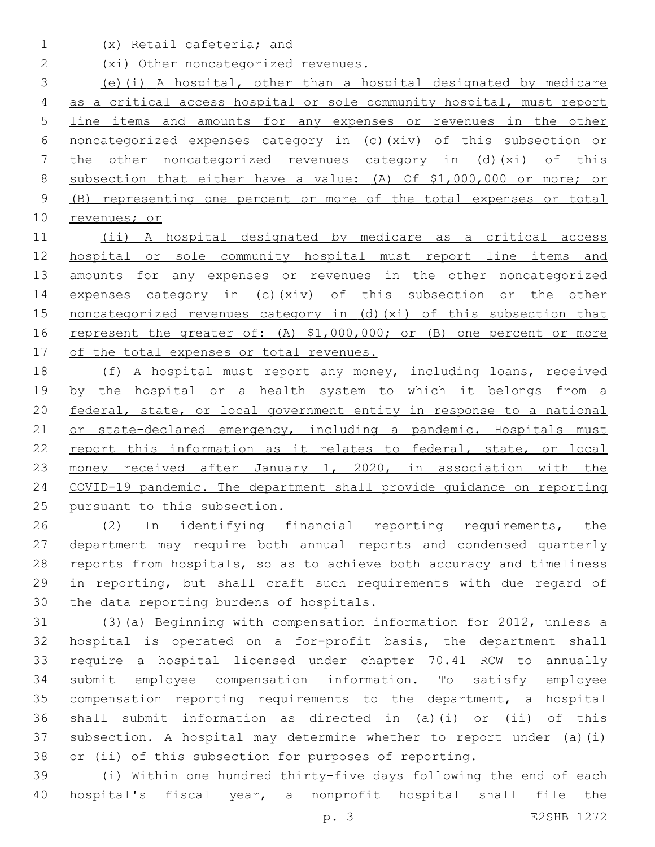(x) Retail cafeteria; and

2 (xi) Other noncategorized revenues.

 (e)(i) A hospital, other than a hospital designated by medicare as a critical access hospital or sole community hospital, must report line items and amounts for any expenses or revenues in the other noncategorized expenses category in (c)(xiv) of this subsection or the other noncategorized revenues category in (d)(xi) of this subsection that either have a value: (A) Of \$1,000,000 or more; or (B) representing one percent or more of the total expenses or total revenues; or

 (ii) A hospital designated by medicare as a critical access 12 hospital or sole community hospital must report line items and 13 amounts for any expenses or revenues in the other noncategorized expenses category in (c)(xiv) of this subsection or the other 15 noncategorized revenues category in (d) (xi) of this subsection that 16 represent the greater of: (A) \$1,000,000; or (B) one percent or more 17 of the total expenses or total revenues.

 (f) A hospital must report any money, including loans, received 19 by the hospital or a health system to which it belongs from a federal, state, or local government entity in response to a national 21 or state-declared emergency, including a pandemic. Hospitals must 22 report this information as it relates to federal, state, or local 23 money received after January 1, 2020, in association with the COVID-19 pandemic. The department shall provide guidance on reporting pursuant to this subsection.

 (2) In identifying financial reporting requirements, the department may require both annual reports and condensed quarterly reports from hospitals, so as to achieve both accuracy and timeliness in reporting, but shall craft such requirements with due regard of 30 the data reporting burdens of hospitals.

 (3)(a) Beginning with compensation information for 2012, unless a hospital is operated on a for-profit basis, the department shall require a hospital licensed under chapter 70.41 RCW to annually submit employee compensation information. To satisfy employee compensation reporting requirements to the department, a hospital shall submit information as directed in (a)(i) or (ii) of this subsection. A hospital may determine whether to report under (a)(i) or (ii) of this subsection for purposes of reporting.

 (i) Within one hundred thirty-five days following the end of each hospital's fiscal year, a nonprofit hospital shall file the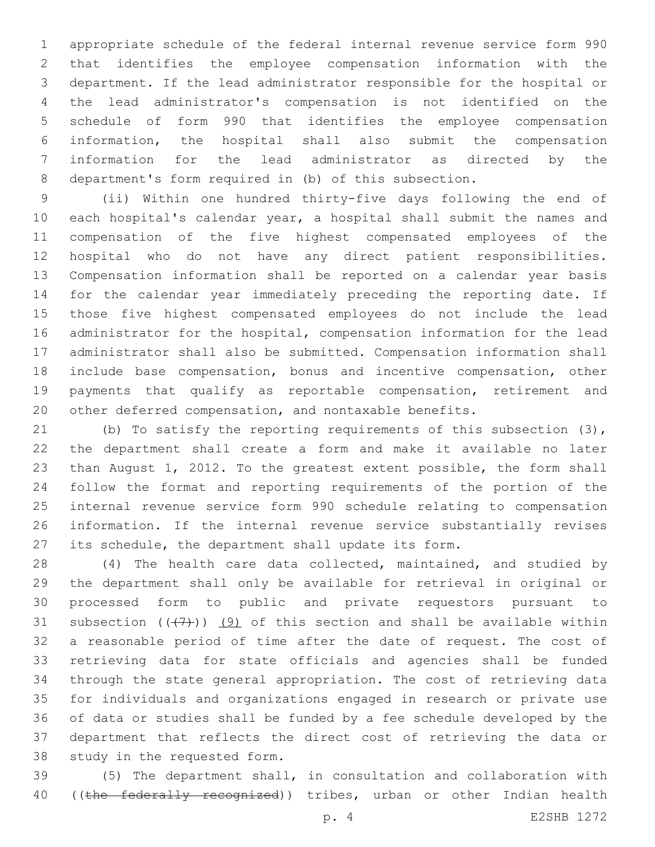appropriate schedule of the federal internal revenue service form 990 that identifies the employee compensation information with the department. If the lead administrator responsible for the hospital or the lead administrator's compensation is not identified on the schedule of form 990 that identifies the employee compensation information, the hospital shall also submit the compensation information for the lead administrator as directed by the department's form required in (b) of this subsection.

 (ii) Within one hundred thirty-five days following the end of each hospital's calendar year, a hospital shall submit the names and compensation of the five highest compensated employees of the hospital who do not have any direct patient responsibilities. Compensation information shall be reported on a calendar year basis for the calendar year immediately preceding the reporting date. If those five highest compensated employees do not include the lead administrator for the hospital, compensation information for the lead administrator shall also be submitted. Compensation information shall include base compensation, bonus and incentive compensation, other payments that qualify as reportable compensation, retirement and other deferred compensation, and nontaxable benefits.

 (b) To satisfy the reporting requirements of this subsection (3), the department shall create a form and make it available no later than August 1, 2012. To the greatest extent possible, the form shall follow the format and reporting requirements of the portion of the internal revenue service form 990 schedule relating to compensation information. If the internal revenue service substantially revises its schedule, the department shall update its form.

 (4) The health care data collected, maintained, and studied by the department shall only be available for retrieval in original or processed form to public and private requestors pursuant to 31 subsection  $((+7+))$  (9) of this section and shall be available within a reasonable period of time after the date of request. The cost of retrieving data for state officials and agencies shall be funded through the state general appropriation. The cost of retrieving data for individuals and organizations engaged in research or private use of data or studies shall be funded by a fee schedule developed by the department that reflects the direct cost of retrieving the data or 38 study in the requested form.

 (5) The department shall, in consultation and collaboration with 40 ((the federally recognized)) tribes, urban or other Indian health

p. 4 E2SHB 1272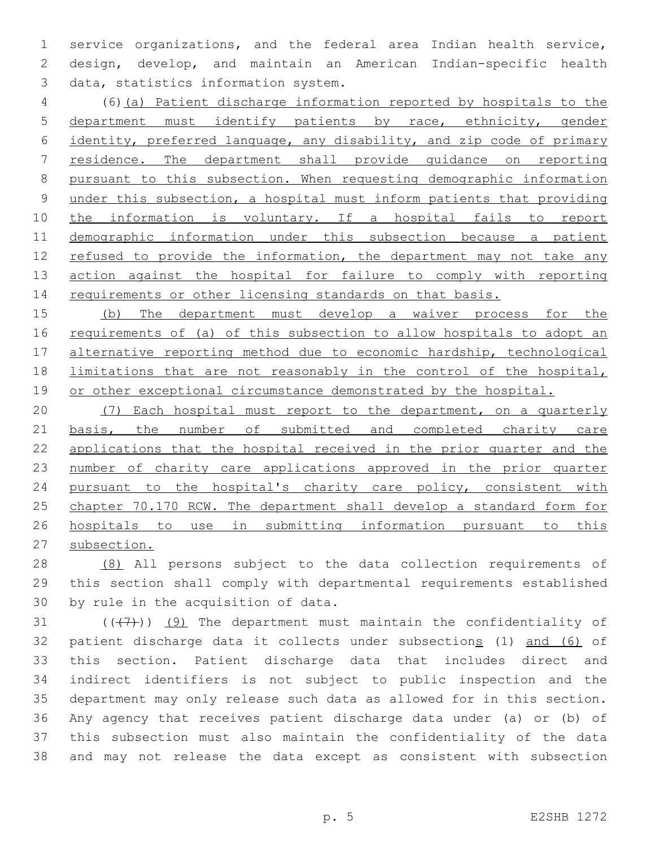service organizations, and the federal area Indian health service, design, develop, and maintain an American Indian-specific health 3 data, statistics information system.

 (6)(a) Patient discharge information reported by hospitals to the department must identify patients by race, ethnicity, gender identity, preferred language, any disability, and zip code of primary residence. The department shall provide guidance on reporting pursuant to this subsection. When requesting demographic information 9 under this subsection, a hospital must inform patients that providing 10 the information is voluntary. If a hospital fails to report demographic information under this subsection because a patient 12 refused to provide the information, the department may not take any action against the hospital for failure to comply with reporting 14 requirements or other licensing standards on that basis.

 (b) The department must develop a waiver process for the 16 requirements of (a) of this subsection to allow hospitals to adopt an alternative reporting method due to economic hardship, technological limitations that are not reasonably in the control of the hospital, 19 or other exceptional circumstance demonstrated by the hospital.

 (7) Each hospital must report to the department, on a quarterly 21 basis, the number of submitted and completed charity care applications that the hospital received in the prior quarter and the 23 number of charity care applications approved in the prior quarter pursuant to the hospital's charity care policy, consistent with chapter 70.170 RCW. The department shall develop a standard form for hospitals to use in submitting information pursuant to this subsection.

 (8) All persons subject to the data collection requirements of this section shall comply with departmental requirements established 30 by rule in the acquisition of data.

 $((+7+))$  (9) The department must maintain the confidentiality of patient discharge data it collects under subsections (1) and (6) of this section. Patient discharge data that includes direct and indirect identifiers is not subject to public inspection and the department may only release such data as allowed for in this section. Any agency that receives patient discharge data under (a) or (b) of this subsection must also maintain the confidentiality of the data and may not release the data except as consistent with subsection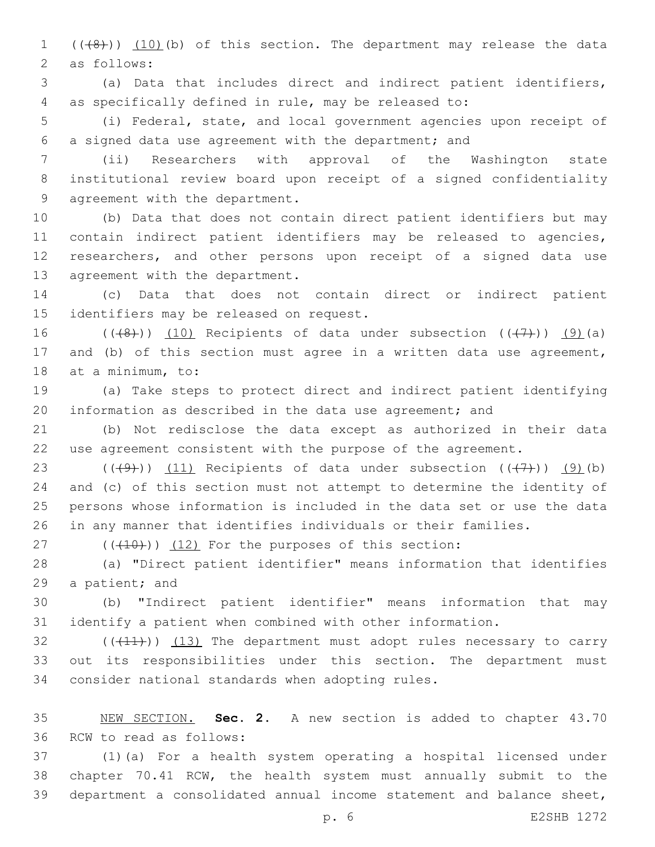1 (((8))) (10)(b) of this section. The department may release the data 2 as follows:

 (a) Data that includes direct and indirect patient identifiers, as specifically defined in rule, may be released to:

 (i) Federal, state, and local government agencies upon receipt of a signed data use agreement with the department; and

 (ii) Researchers with approval of the Washington state institutional review board upon receipt of a signed confidentiality 9 agreement with the department.

 (b) Data that does not contain direct patient identifiers but may contain indirect patient identifiers may be released to agencies, researchers, and other persons upon receipt of a signed data use 13 agreement with the department.

 (c) Data that does not contain direct or indirect patient 15 identifiers may be released on request.

16 ( $(\overline{(+8)}$ )) (10) Recipients of data under subsection  $((\overline{(+7)}))$  (9)(a) and (b) of this section must agree in a written data use agreement, 18 at a minimum, to:

 (a) Take steps to protect direct and indirect patient identifying information as described in the data use agreement; and

 (b) Not redisclose the data except as authorized in their data use agreement consistent with the purpose of the agreement.

23 ( $(\frac{49}{})$ ) (11) Recipients of data under subsection  $(\frac{47}{})$ ) (9)(b) and (c) of this section must not attempt to determine the identity of persons whose information is included in the data set or use the data in any manner that identifies individuals or their families.

( $(\overline{+10})$ )  $(12)$  For the purposes of this section:

 (a) "Direct patient identifier" means information that identifies 29 a patient; and

 (b) "Indirect patient identifier" means information that may identify a patient when combined with other information.

 $(1)$  ( $(11)$ ))  $(13)$  The department must adopt rules necessary to carry out its responsibilities under this section. The department must 34 consider national standards when adopting rules.

 NEW SECTION. **Sec. 2.** A new section is added to chapter 43.70 36 RCW to read as follows:

 (1)(a) For a health system operating a hospital licensed under chapter 70.41 RCW, the health system must annually submit to the department a consolidated annual income statement and balance sheet,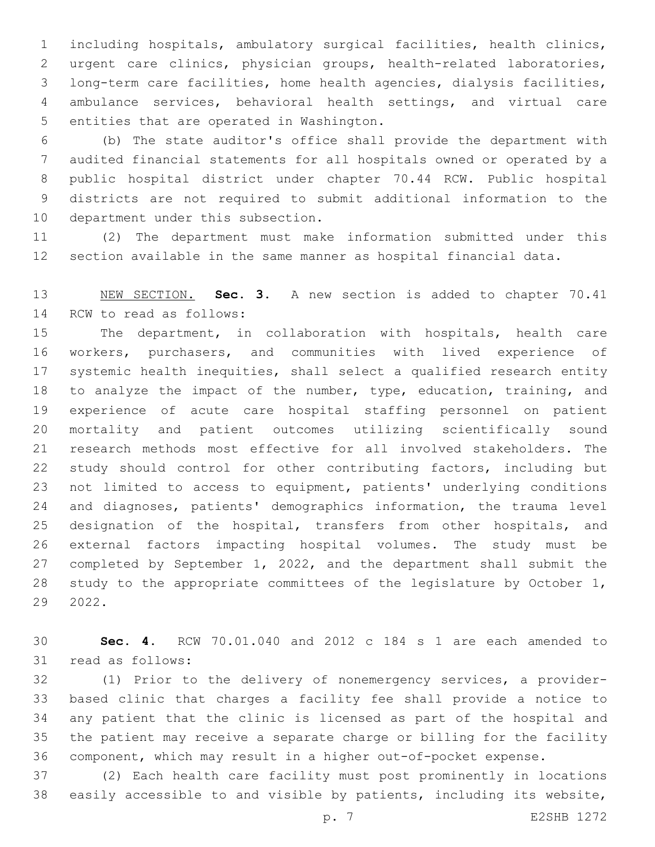including hospitals, ambulatory surgical facilities, health clinics, urgent care clinics, physician groups, health-related laboratories, long-term care facilities, home health agencies, dialysis facilities, ambulance services, behavioral health settings, and virtual care 5 entities that are operated in Washington.

 (b) The state auditor's office shall provide the department with audited financial statements for all hospitals owned or operated by a public hospital district under chapter 70.44 RCW. Public hospital districts are not required to submit additional information to the 10 department under this subsection.

 (2) The department must make information submitted under this section available in the same manner as hospital financial data.

 NEW SECTION. **Sec. 3.** A new section is added to chapter 70.41 14 RCW to read as follows:

 The department, in collaboration with hospitals, health care workers, purchasers, and communities with lived experience of systemic health inequities, shall select a qualified research entity to analyze the impact of the number, type, education, training, and experience of acute care hospital staffing personnel on patient mortality and patient outcomes utilizing scientifically sound research methods most effective for all involved stakeholders. The study should control for other contributing factors, including but not limited to access to equipment, patients' underlying conditions and diagnoses, patients' demographics information, the trauma level 25 designation of the hospital, transfers from other hospitals, and external factors impacting hospital volumes. The study must be completed by September 1, 2022, and the department shall submit the study to the appropriate committees of the legislature by October 1, 2022.

 **Sec. 4.** RCW 70.01.040 and 2012 c 184 s 1 are each amended to 31 read as follows:

 (1) Prior to the delivery of nonemergency services, a provider- based clinic that charges a facility fee shall provide a notice to any patient that the clinic is licensed as part of the hospital and the patient may receive a separate charge or billing for the facility component, which may result in a higher out-of-pocket expense.

 (2) Each health care facility must post prominently in locations easily accessible to and visible by patients, including its website,

p. 7 E2SHB 1272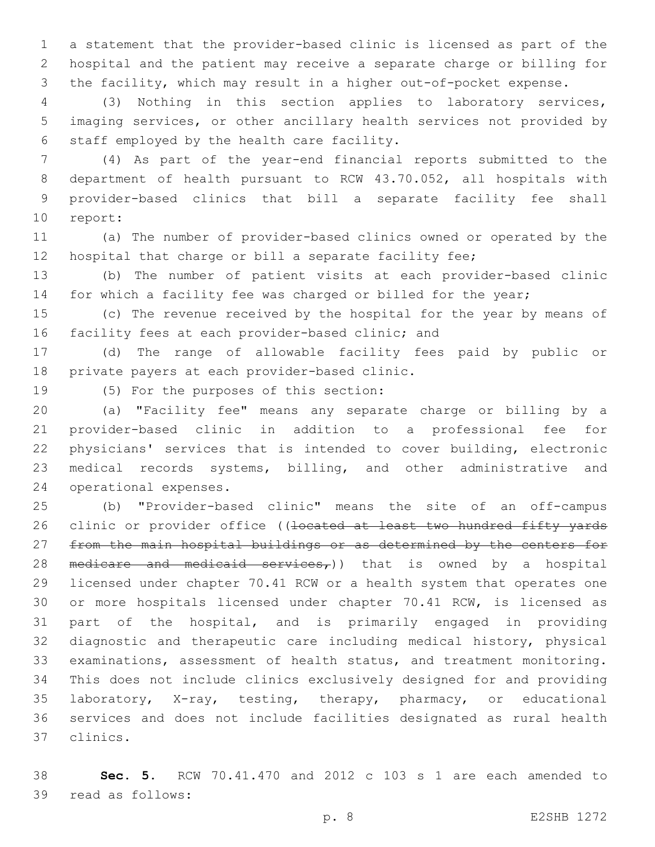a statement that the provider-based clinic is licensed as part of the hospital and the patient may receive a separate charge or billing for the facility, which may result in a higher out-of-pocket expense.

 (3) Nothing in this section applies to laboratory services, imaging services, or other ancillary health services not provided by 6 staff employed by the health care facility.

 (4) As part of the year-end financial reports submitted to the department of health pursuant to RCW 43.70.052, all hospitals with provider-based clinics that bill a separate facility fee shall 10 report:

 (a) The number of provider-based clinics owned or operated by the hospital that charge or bill a separate facility fee;

 (b) The number of patient visits at each provider-based clinic for which a facility fee was charged or billed for the year;

 (c) The revenue received by the hospital for the year by means of 16 facility fees at each provider-based clinic; and

 (d) The range of allowable facility fees paid by public or 18 private payers at each provider-based clinic.

19 (5) For the purposes of this section:

 (a) "Facility fee" means any separate charge or billing by a provider-based clinic in addition to a professional fee for physicians' services that is intended to cover building, electronic medical records systems, billing, and other administrative and 24 operational expenses.

 (b) "Provider-based clinic" means the site of an off-campus 26 clinic or provider office ((<del>located at least two hundred fifty yards</del> 27 from the main hospital buildings or as determined by the centers for 28 medicare and medicaid services,)) that is owned by a hospital licensed under chapter 70.41 RCW or a health system that operates one or more hospitals licensed under chapter 70.41 RCW, is licensed as part of the hospital, and is primarily engaged in providing diagnostic and therapeutic care including medical history, physical examinations, assessment of health status, and treatment monitoring. This does not include clinics exclusively designed for and providing laboratory, X-ray, testing, therapy, pharmacy, or educational services and does not include facilities designated as rural health clinics.37

 **Sec. 5.** RCW 70.41.470 and 2012 c 103 s 1 are each amended to 39 read as follows: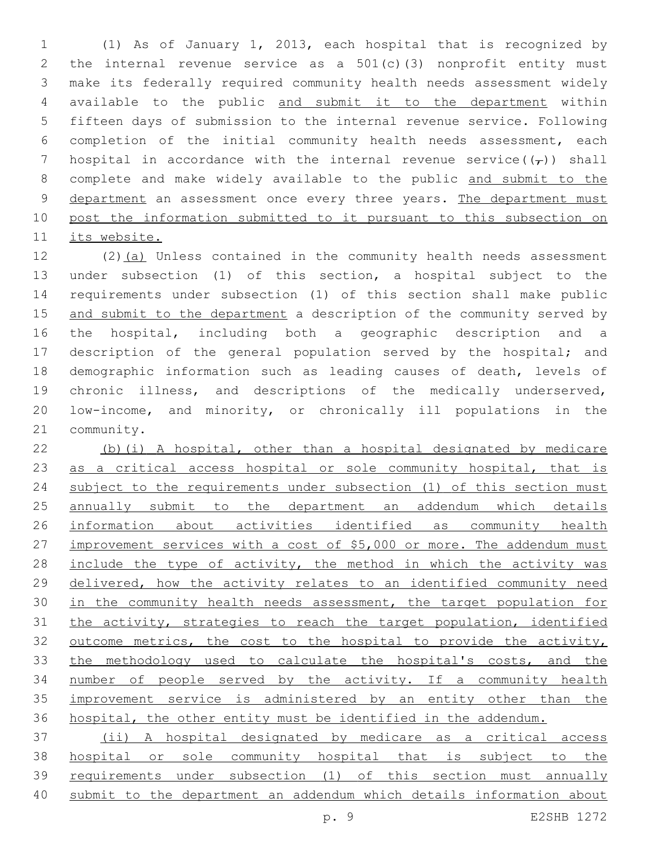(1) As of January 1, 2013, each hospital that is recognized by the internal revenue service as a 501(c)(3) nonprofit entity must make its federally required community health needs assessment widely available to the public and submit it to the department within fifteen days of submission to the internal revenue service. Following completion of the initial community health needs assessment, each 7 hospital in accordance with the internal revenue service( $(\tau)$ ) shall complete and make widely available to the public and submit to the 9 department an assessment once every three years. The department must post the information submitted to it pursuant to this subsection on its website.

12 (2)(a) Unless contained in the community health needs assessment under subsection (1) of this section, a hospital subject to the requirements under subsection (1) of this section shall make public 15 and submit to the department a description of the community served by the hospital, including both a geographic description and a 17 description of the general population served by the hospital; and demographic information such as leading causes of death, levels of chronic illness, and descriptions of the medically underserved, low-income, and minority, or chronically ill populations in the 21 community.

 (b)(i) A hospital, other than a hospital designated by medicare 23 as a critical access hospital or sole community hospital, that is 24 subject to the requirements under subsection (1) of this section must annually submit to the department an addendum which details information about activities identified as community health 27 improvement services with a cost of \$5,000 or more. The addendum must 28 include the type of activity, the method in which the activity was delivered, how the activity relates to an identified community need 30 in the community health needs assessment, the target population for the activity, strategies to reach the target population, identified 32 outcome metrics, the cost to the hospital to provide the activity, the methodology used to calculate the hospital's costs, and the number of people served by the activity. If a community health improvement service is administered by an entity other than the hospital, the other entity must be identified in the addendum.

 (ii) A hospital designated by medicare as a critical access hospital or sole community hospital that is subject to the requirements under subsection (1) of this section must annually submit to the department an addendum which details information about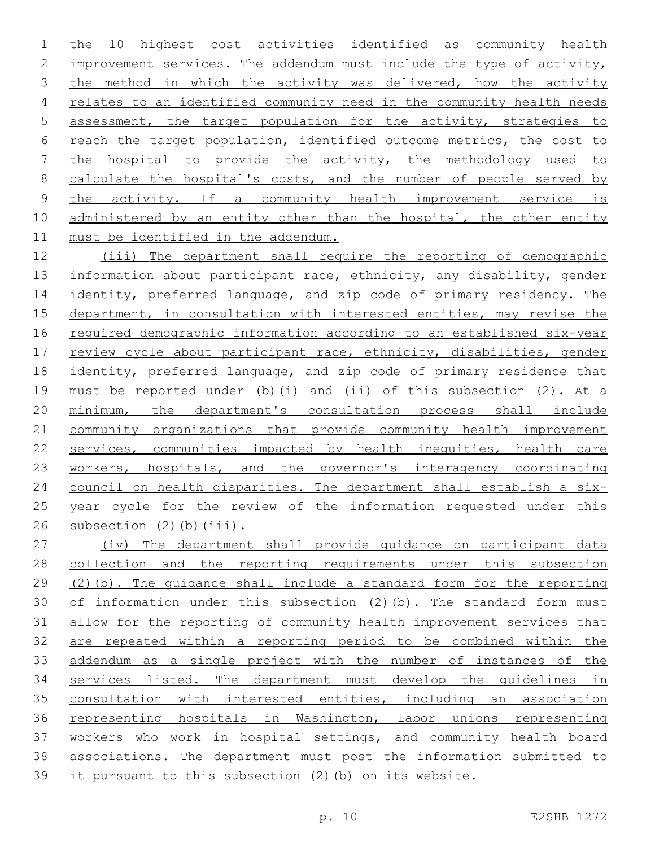the 10 highest cost activities identified as community health improvement services. The addendum must include the type of activity, 3 the method in which the activity was delivered, how the activity relates to an identified community need in the community health needs assessment, the target population for the activity, strategies to reach the target population, identified outcome metrics, the cost to the hospital to provide the activity, the methodology used to 8 calculate the hospital's costs, and the number of people served by the activity. If a community health improvement service is 10 administered by an entity other than the hospital, the other entity 11 must be identified in the addendum.

 (iii) The department shall require the reporting of demographic 13 information about participant race, ethnicity, any disability, gender 14 identity, preferred language, and zip code of primary residency. The department, in consultation with interested entities, may revise the required demographic information according to an established six-year review cycle about participant race, ethnicity, disabilities, gender identity, preferred language, and zip code of primary residence that must be reported under (b)(i) and (ii) of this subsection (2). At a minimum, the department's consultation process shall include community organizations that provide community health improvement services, communities impacted by health inequities, health care 23 workers, hospitals, and the governor's interagency coordinating 24 council on health disparities. The department shall establish a six-25 year cycle for the review of the information requested under this subsection (2)(b)(iii).

 (iv) The department shall provide guidance on participant data collection and the reporting requirements under this subsection (2)(b). The guidance shall include a standard form for the reporting 30 of information under this subsection (2)(b). The standard form must allow for the reporting of community health improvement services that are repeated within a reporting period to be combined within the addendum as a single project with the number of instances of the services listed. The department must develop the guidelines in consultation with interested entities, including an association representing hospitals in Washington, labor unions representing 37 workers who work in hospital settings, and community health board associations. The department must post the information submitted to it pursuant to this subsection (2)(b) on its website.